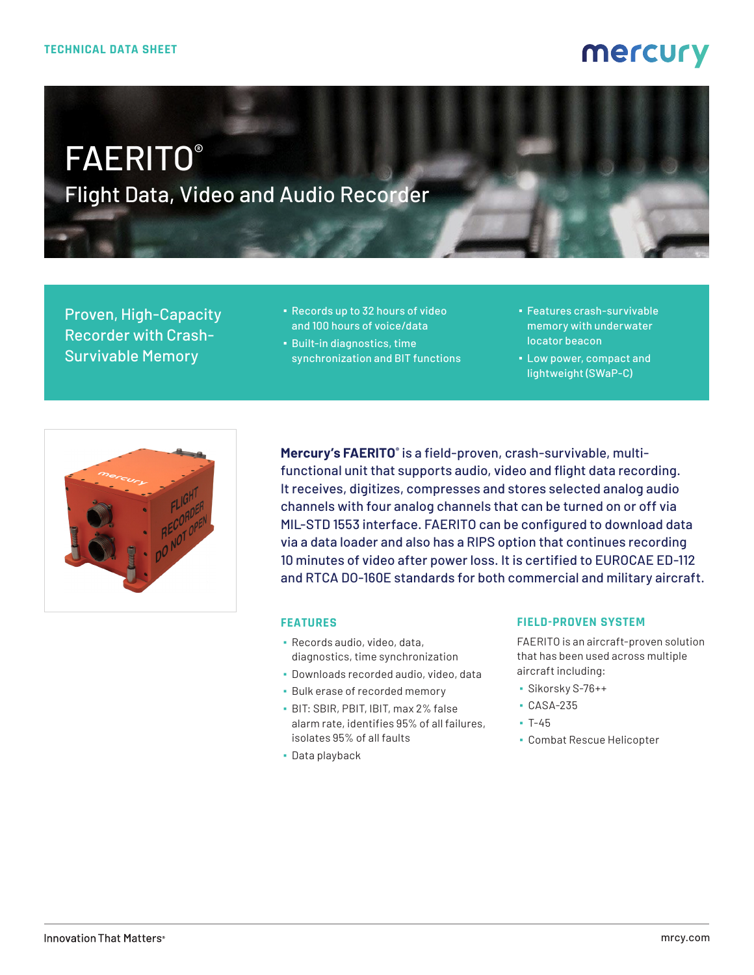# mercury

# FAERITO® Flight Data, Video and Audio Recorder

Proven, High-Capacity Recorder with Crash-Survivable Memory

- Records up to 32 hours of video and 100 hours of voice/data
- Built-in diagnostics, time synchronization and BIT functions
- Features crash-survivable memory with underwater locator beacon
- Low power, compact and lightweight (SWaP-C)



**Mercury's FAERITO®** is a field-proven, crash-survivable, multifunctional unit that supports audio, video and flight data recording. It receives, digitizes, compresses and stores selected analog audio channels with four analog channels that can be turned on or off via MIL-STD 1553 interface. FAERITO can be configured to download data via a data loader and also has a RIPS option that continues recording 10 minutes of video after power loss. It is certified to EUROCAE ED-112 and RTCA DO-160E standards for both commercial and military aircraft.

#### **FEATURES**

- Records audio, video, data, diagnostics, time synchronization
- Downloads recorded audio, video, data
- Bulk erase of recorded memory
- BIT: SBIR, PBIT, IBIT, max 2% false alarm rate, identifies 95% of all failures, isolates 95% of all faults
- Data playback

#### **FIELD-PROVEN SYSTEM**

FAERITO is an aircraft-proven solution that has been used across multiple aircraft including:

- Sikorsky S-76++
- CASA-235
- $-7-45$
- Combat Rescue Helicopter